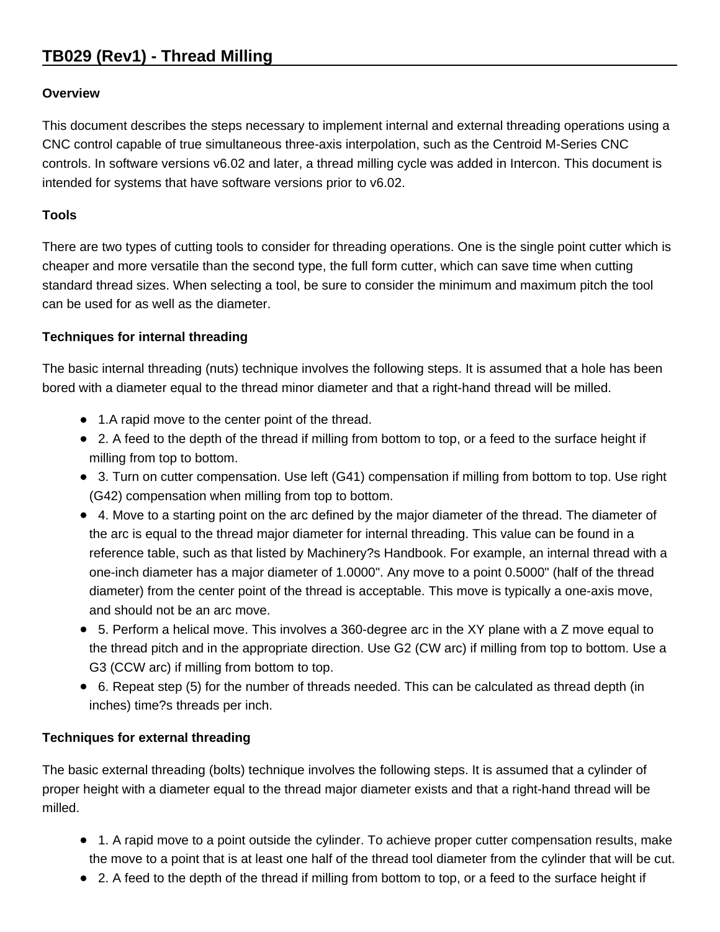# **TB029 (Rev1) - Thread Milling**

# **Overview**

This document describes the steps necessary to implement internal and external threading operations using a CNC control capable of true simultaneous three-axis interpolation, such as the Centroid M-Series CNC controls. In software versions v6.02 and later, a thread milling cycle was added in Intercon. This document is intended for systems that have software versions prior to v6.02.

# **Tools**

There are two types of cutting tools to consider for threading operations. One is the single point cutter which is cheaper and more versatile than the second type, the full form cutter, which can save time when cutting standard thread sizes. When selecting a tool, be sure to consider the minimum and maximum pitch the tool can be used for as well as the diameter.

#### **Techniques for internal threading**

The basic internal threading (nuts) technique involves the following steps. It is assumed that a hole has been bored with a diameter equal to the thread minor diameter and that a right-hand thread will be milled.

- 1.A rapid move to the center point of the thread.
- 2. A feed to the depth of the thread if milling from bottom to top, or a feed to the surface height if milling from top to bottom.
- 3. Turn on cutter compensation. Use left (G41) compensation if milling from bottom to top. Use right (G42) compensation when milling from top to bottom.
- 4. Move to a starting point on the arc defined by the major diameter of the thread. The diameter of the arc is equal to the thread major diameter for internal threading. This value can be found in a reference table, such as that listed by Machinery?s Handbook. For example, an internal thread with a one-inch diameter has a major diameter of 1.0000". Any move to a point 0.5000" (half of the thread diameter) from the center point of the thread is acceptable. This move is typically a one-axis move, and should not be an arc move.
- 5. Perform a helical move. This involves a 360-degree arc in the XY plane with a Z move equal to the thread pitch and in the appropriate direction. Use G2 (CW arc) if milling from top to bottom. Use a G3 (CCW arc) if milling from bottom to top.
- 6. Repeat step (5) for the number of threads needed. This can be calculated as thread depth (in inches) time?s threads per inch.

# **Techniques for external threading**

The basic external threading (bolts) technique involves the following steps. It is assumed that a cylinder of proper height with a diameter equal to the thread major diameter exists and that a right-hand thread will be milled.

- 1. A rapid move to a point outside the cylinder. To achieve proper cutter compensation results, make the move to a point that is at least one half of the thread tool diameter from the cylinder that will be cut.
- 2. A feed to the depth of the thread if milling from bottom to top, or a feed to the surface height if